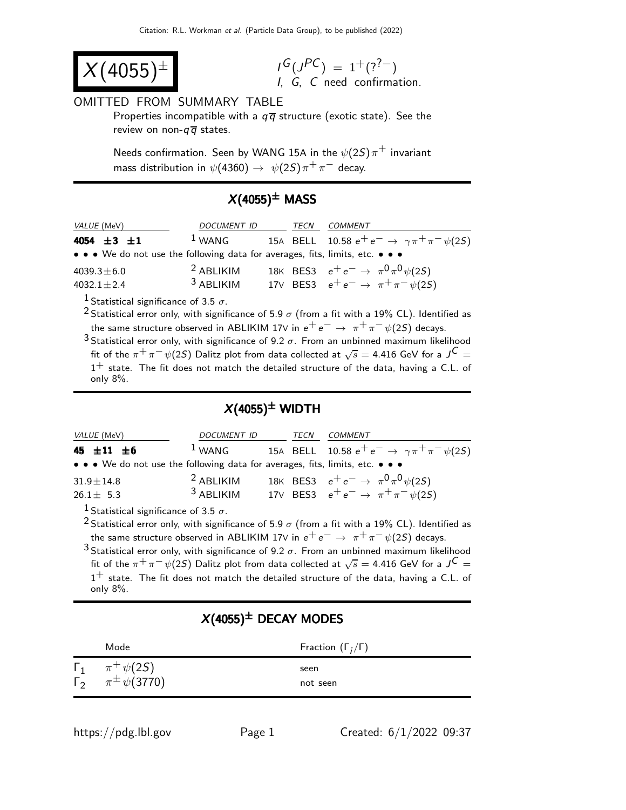$$
X(4055)^{\pm}
$$

 $G(J^{PC}) = 1^+(?^{?-})$ I, G, C need confirmation.

#### OMITTED FROM SUMMARY TABLE

Properties incompatible with a  $q\overline{q}$  structure (exotic state). See the review on non- $q\overline{q}$  states.

Needs confirmation. Seen by WANG 15A in the  $\psi(2S)\pi^+$  invariant mass distribution in  $\psi(4360)\rightarrow\;\psi(2S)\pi^{+}\pi^{-}$  decay.

### $X(4055)^{\pm}$  MASS

| <i>VALUE</i> (MeV)                                                            | DOCUMENT ID |  | TECN | <i>COMMENT</i>                                          |  |  |
|-------------------------------------------------------------------------------|-------------|--|------|---------------------------------------------------------|--|--|
| 4054 $\pm 3$ $\pm 1$                                                          | $1$ WANG    |  |      | 15A BELL 10.58 $e^+e^- \to \gamma \pi^+ \pi^- \psi(2S)$ |  |  |
| • • • We do not use the following data for averages, fits, limits, etc. • • • |             |  |      |                                                         |  |  |
| 4039.3 $\pm$ 6.0                                                              | $2$ ABLIKIM |  |      | 18K BES3 $e^+e^- \rightarrow \pi^0 \pi^0 \psi(25)$      |  |  |
| $4032.1 \pm 2.4$                                                              | $3$ ABLIKIM |  |      | 17V BES3 $e^+e^- \to \pi^+\pi^-\psi(2S)$                |  |  |
|                                                                               |             |  |      |                                                         |  |  |

<sup>1</sup> Statistical significance of 3.5  $\sigma$ .

<sup>2</sup> Statistical error only, with significance of 5.9  $\sigma$  (from a fit with a 19% CL). Identified as the same structure observed in ABLIKIM 17V in  $e^+e^- \rightarrow \pi^+\pi^-\psi(2S)$  decays.

3 Statistical error only, with significance of 9.2  $\sigma$ . From an unbinned maximum likelihood fit of the  $\pi^+ \pi^- \psi(2S)$  Dalitz plot from data collected at  $\sqrt{s} = 4.416$  GeV for a  $J^C =$  $1^+$  state. The fit does not match the detailed structure of the data, having a C.L. of only 8%.

### $X(4055)^{\pm}$  WIDTH

| <i>VALUE</i> (MeV)                                                            | DOCUMENT ID                | TECN | COMMENT                                                                                        |
|-------------------------------------------------------------------------------|----------------------------|------|------------------------------------------------------------------------------------------------|
| 45 $\pm$ 11 $\pm$ 6                                                           | $1$ WANG                   |      | 15A BELL 10.58 $e^+e^- \to \gamma \pi^+ \pi^- \psi(2S)$                                        |
| • • • We do not use the following data for averages, fits, limits, etc. • • • |                            |      |                                                                                                |
| $31.9 \pm 14.8$<br>$26.1 \pm 5.3$                                             | $2$ ABLIKIM<br>$3$ ABLIKIM |      | 18K BES3 $e^+e^- \rightarrow \pi^0 \pi^0 \psi(25)$<br>17V BES3 $e^+e^- \to \pi^+\pi^-\psi(2S)$ |

<sup>1</sup> Statistical significance of 3.5  $\sigma$ .

<sup>2</sup> Statistical error only, with significance of 5.9  $\sigma$  (from a fit with a 19% CL). Identified as the same structure observed in ABLIKIM 17V in  $e^+e^- \rightarrow \pi^+\pi^-\psi(2S)$  decays.

3 Statistical error only, with significance of 9.2  $\sigma$ . From an unbinned maximum likelihood fit of the  $\pi^+ \pi^- \psi(2S)$  Dalitz plot from data collected at  $\sqrt{s} = 4.416$  GeV for a  $J^C =$  $1^+$  state. The fit does not match the detailed structure of the data, having a C.L. of only 8%.

## $X(4055)^{\pm}$  DECAY MODES

| Mode                                                                    | Fraction $(\Gamma_i/\Gamma)$ |
|-------------------------------------------------------------------------|------------------------------|
| $\Gamma_1 \ \ \pi^+ \psi(2S)$<br>$\Gamma_2 \qquad \pi^{\pm} \psi(3770)$ | seen<br>not seen             |